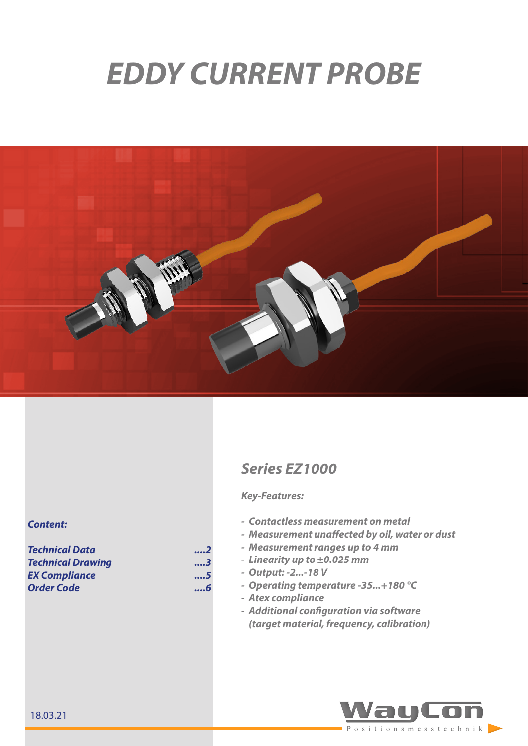# *EDDY CURRENT PROBE*



# *Series EZ1000*

#### *Key-Features:*

- *- Contactless measurement on metal*
- *- Measurement unaffected by oil, water or dust*
- *- Measurement ranges up to 4 mm*
- *- Linearity up to ±0.025 mm*
- *- Output: -2...-18 V*
	- *- Operating temperature -35...+180 °C*
- *- Atex compliance*
- *- Additional configuration via software (target material, frequency, calibration)*



#### *Content:*

*[Technical Data ....2](#page-1-0)* **Technical Drawing** *[EX Compliance](#page-4-0) ....5 [Order Code](#page-5-0) ....6*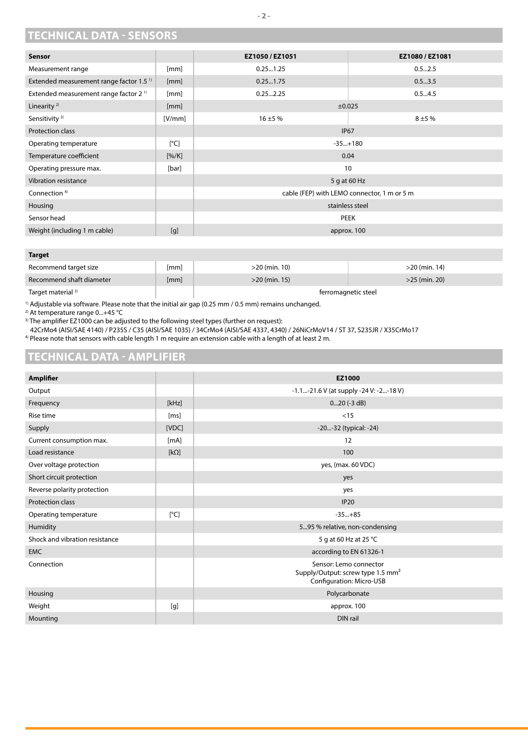### <span id="page-1-0"></span>**TECHNICAL DATA - SENSORS**

| Sensor                                              |         | EZ1050/EZ1051                               | EZ1080 / EZ1081 |
|-----------------------------------------------------|---------|---------------------------------------------|-----------------|
| Measurement range                                   | [mm]    | 0.251.25                                    | 0.52.5          |
| Extended measurement range factor 1.5 <sup>1)</sup> | [mm]    | 0.251.75                                    | 0.53.5          |
| Extended measurement range factor 2 <sup>1)</sup>   | [mm]    | 0.252.25                                    | 0.54.5          |
| Linearity <sup>2)</sup>                             | [mm]    |                                             | $\pm 0.025$     |
| Sensitivity <sup>2)</sup>                           | [V/mm]  | $16 + 5%$                                   | $8 + 5%$        |
| Protection class                                    |         |                                             | <b>IP67</b>     |
| Operating temperature                               | [°C]    |                                             | $-35+180$       |
| Temperature coefficient                             | [% / K] |                                             | 0.04            |
| Operating pressure max.                             | [bar]   |                                             | 10              |
| <b>Vibration resistance</b>                         |         |                                             | 5 g at 60 Hz    |
| Connection <sup>4)</sup>                            |         | cable (FEP) with LEMO connector, 1 m or 5 m |                 |
| Housing                                             |         | stainless steel                             |                 |
| Sensor head                                         |         | <b>PEEK</b>                                 |                 |
| Weight (including 1 m cable)                        | [g]     |                                             | approx. 100     |

#### **Target**

| Recommend target size         | [mm] | $>20$ (min. 10)     | $>$ 20 (min. 14) |
|-------------------------------|------|---------------------|------------------|
| Recommend shaft diameter      | [mm] | $>20$ (min. 15)     | $>25$ (min. 20)  |
| Target material <sup>3)</sup> |      | ferromagnetic steel |                  |

<sup>1)</sup> Adjustable via software. Please note that the initial air gap (0.25 mm / 0.5 mm) remains unchanged.

2) At temperature range 0...+45 °C

<sup>3)</sup> The amplifier EZ1000 can be adjusted to the following steel types (further on request):

42CrMo4 (AISI/SAE 4140) / P235S / C35 (AISI/SAE 1035) / 34CrMo4 (AISI/SAE 4337, 4340) / 26NiCrMoV14 / ST 37, S235JR / X35CrMo17 4) Please note that sensors with cable length 1 m require an extension cable with a length of at least 2 m.

#### **TECHNICAL DATA - AMPLIFIER**

| <b>Amplifier</b>               |             | EZ1000                                                                                              |
|--------------------------------|-------------|-----------------------------------------------------------------------------------------------------|
| Output                         |             | -1.1-21.6 V (at supply -24 V: -2-18 V)                                                              |
| Frequency                      | [kHz]       | $020$ (-3 dB)                                                                                       |
| Rise time                      | [ms]        | < 15                                                                                                |
| Supply                         | [VDC]       | -20-32 (typical: -24)                                                                               |
| Current consumption max.       | [mA]        | 12                                                                                                  |
| Load resistance                | $[k\Omega]$ | 100                                                                                                 |
| Over voltage protection        |             | yes, (max. 60 VDC)                                                                                  |
| Short circuit protection       |             | yes                                                                                                 |
| Reverse polarity protection    |             | yes                                                                                                 |
| <b>Protection class</b>        |             | <b>IP20</b>                                                                                         |
| Operating temperature          | [°C]        | $-35+85$                                                                                            |
| Humidity                       |             | 595 % relative, non-condensing                                                                      |
| Shock and vibration resistance |             | 5 g at 60 Hz at 25 °C                                                                               |
| <b>EMC</b>                     |             | according to EN 61326-1                                                                             |
| Connection                     |             | Sensor: Lemo connector<br>Supply/Output: screw type 1.5 mm <sup>2</sup><br>Configuration: Micro-USB |
| Housing                        |             | Polycarbonate                                                                                       |
| Weight                         | [g]         | approx. 100                                                                                         |
| Mounting                       |             | DIN rail                                                                                            |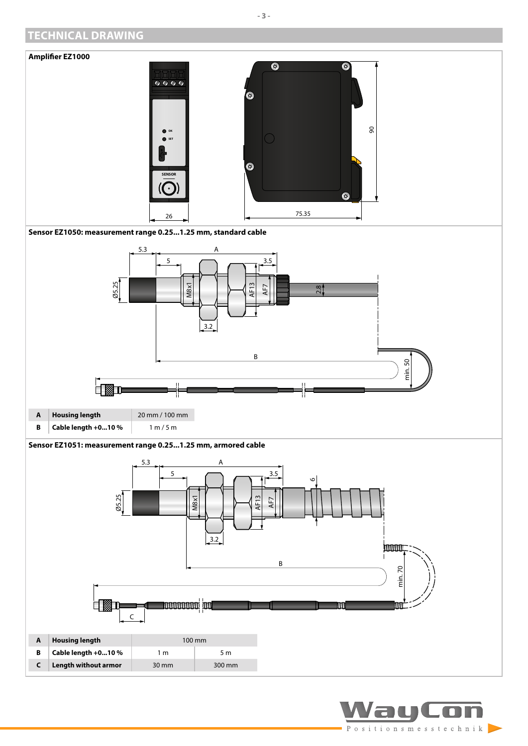## <span id="page-2-0"></span>**TECHNICAL DRAWING**



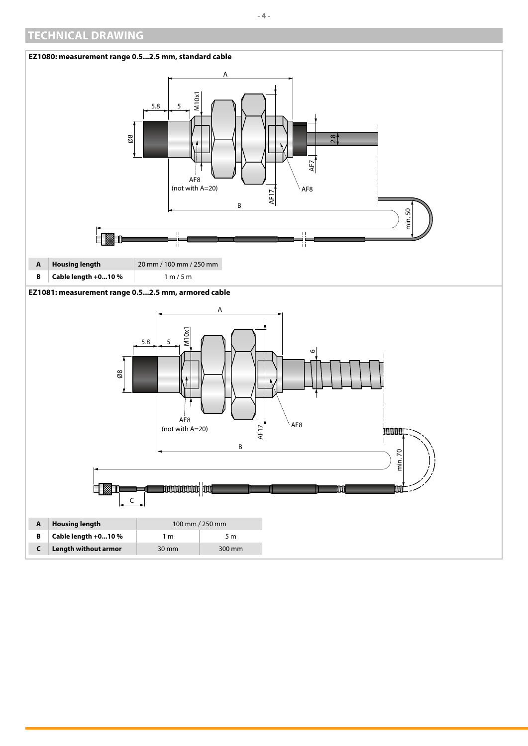## **TECHNICAL DRAWING**

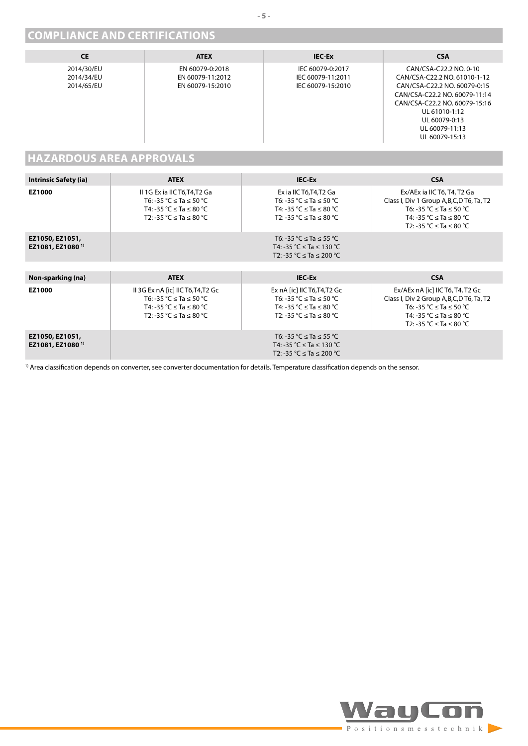## <span id="page-4-0"></span>**COMPLIANCE AND CERTIFICATIONS**

| <b>CE</b>                              | <b>ATEX</b>                                             | <b>IEC-Ex</b>                                              | <b>CSA</b>                                                                                                                                                                                                                     |
|----------------------------------------|---------------------------------------------------------|------------------------------------------------------------|--------------------------------------------------------------------------------------------------------------------------------------------------------------------------------------------------------------------------------|
| 2014/30/EU<br>2014/34/EU<br>2014/65/EU | EN 60079-0:2018<br>EN 60079-11:2012<br>EN 60079-15:2010 | IEC 60079-0:2017<br>IEC 60079-11:2011<br>IEC 60079-15:2010 | CAN/CSA-C22.2 NO. 0-10<br>CAN/CSA-C22.2 NO. 61010-1-12<br>CAN/CSA-C22.2 NO. 60079-0:15<br>CAN/CSA-C22.2 NO. 60079-11:14<br>CAN/CSA-C22.2 NO. 60079-15:16<br>UL 61010-1:12<br>UL 60079-0:13<br>UL 60079-11:13<br>UL 60079-15:13 |

## **HAZARDOUS AREA APPROVALS**

| <b>Intrinsic Safety (ia)</b>                    | <b>ATEX</b>                                                                                                                                 | <b>IEC-Ex</b>                                                                                                                           | <b>CSA</b>                                                                                                                                                              |
|-------------------------------------------------|---------------------------------------------------------------------------------------------------------------------------------------------|-----------------------------------------------------------------------------------------------------------------------------------------|-------------------------------------------------------------------------------------------------------------------------------------------------------------------------|
| EZ1000                                          | II 1G Ex ia IIC T6, T4, T2 Ga<br>T6: -35 °C $\le$ Ta $\le$ 50 °C<br>T4: -35 °C $\le$ Ta $\le$ 80 °C<br>T2: -35 °C ≤ Ta ≤ 80 °C              | Ex ia IIC T6, T4, T2 Ga<br>T6: -35 °C $\le$ Ta $\le$ 50 °C<br>T4: -35 °C $\le$ Ta $\le$ 80 °C<br>T2: -35 °C ≤ Ta ≤ 80 °C                | Ex/AEx ia IIC T6, T4, T2 Ga<br>Class I, Div 1 Group A, B, C, D T6, Ta, T2<br>T6: -35 °C ≤ Ta ≤ 50 °C<br>T4: -35 °C ≤ Ta ≤ 80 °C<br>T2: -35 °C $\le$ Ta $\le$ 80 °C      |
| EZ1050, EZ1051,<br>EZ1081, EZ1080 <sup>1)</sup> |                                                                                                                                             | T6: -35 °C $\le$ Ta $\le$ 55 °C<br>T4: -35 °C $\le$ Ta $\le$ 130 °C<br>T2: -35 °C ≤ Ta ≤ 200 °C                                         |                                                                                                                                                                         |
|                                                 |                                                                                                                                             |                                                                                                                                         |                                                                                                                                                                         |
| Non-sparking (na)                               | <b>ATEX</b>                                                                                                                                 | <b>IEC-Ex</b>                                                                                                                           | <b>CSA</b>                                                                                                                                                              |
| EZ1000                                          | II 3G Ex nA [ic] IIC T6, T4, T2 Gc<br>T6: -35 °C $\le$ Ta $\le$ 50 °C<br>T4: -35 °C $\le$ Ta $\le$ 80 °C<br>T2: -35 °C $\le$ Ta $\le$ 80 °C | Ex $nA$ [ic] IIC T6, T4, T2 Gc<br>T6: -35 °C $\le$ Ta $\le$ 50 °C<br>T4: -35 °C $\le$ Ta $\le$ 80 °C<br>T2: -35 °C $\le$ Ta $\le$ 80 °C | Ex/AEx nA [ic] IIC T6, T4, T2 Gc<br>Class I, Div 2 Group A, B, C, D T6, Ta, T2<br>T6: -35 °C $\le$ Ta $\le$ 50 °C<br>T4: -35 °C ≤ Ta ≤ 80 °C<br>T2: -35 °C ≤ Ta ≤ 80 °C |
| EZ1050, EZ1051,<br>EZ1081, EZ1080 <sup>1)</sup> |                                                                                                                                             | T6: -35 °C $\le$ Ta $\le$ 55 °C<br>T4: -35 °C $\le$ Ta $\le$ 130 °C<br>T2: -35 °C $\le$ Ta $\le$ 200 °C                                 |                                                                                                                                                                         |

<sup>1)</sup> Area classification depends on converter, see converter documentation for details. Temperature classification depends on the sensor.